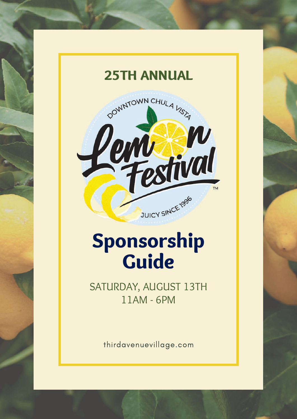

# Sponsorship Guide

SATURDAY, AUGUST 13TH 11AM - 6PM

thirdavenuevillage.com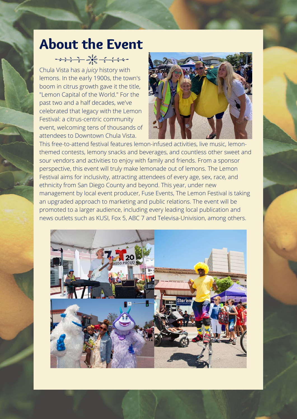# About the Event

Chula Vista has a *juicy* history with lemons. In the early 1900s, the town's boom in citrus growth gave it the title, "Lemon Capital of the World." For the past two and a half decades, we've celebrated that legacy with the Lemon Festival: a citrus-centric community event, welcoming tens of thousands of attendees to Downtown Chula Vista.



This free-to-attend festival features lemon-infused activities, live music, lemonthemed contests, lemony snacks and beverages, and countless other sweet and sour vendors and activities to enjoy with family and friends. From a sponsor perspective, this event will truly make lemonade out of lemons. The Lemon Festival aims for inclusivity, attracting attendees of every age, sex, race, and ethnicity from San Diego County and beyond. This year, under new management by local event producer, Fuse Events, The Lemon Festival is taking an upgraded approach to marketing and public relations. The event will be promoted to a larger audience, including every leading local publication and news outlets such as KUSI, Fox 5, ABC 7 and Televisa-Univision, among others.